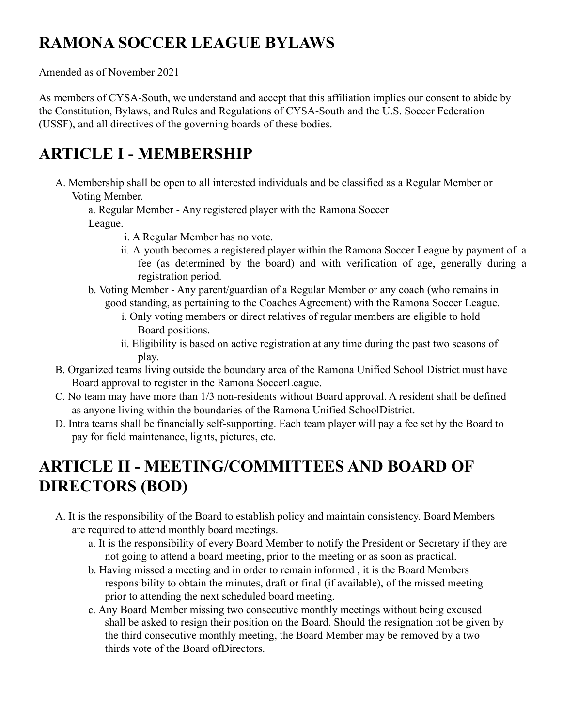# **RAMONA SOCCER LEAGUE BYLAWS**

Amended as of November 2021

As members of CYSA-South, we understand and accept that this affiliation implies our consent to abide by the Constitution, Bylaws, and Rules and Regulations of CYSA-South and the U.S. Soccer Federation (USSF), and all directives of the governing boards of these bodies.

## **ARTICLE I - MEMBERSHIP**

A. Membership shall be open to all interested individuals and be classified as a Regular Member or Voting Member.

a. Regular Member - Any registered player with the Ramona Soccer League.

- i. A Regular Member has no vote.
- ii. A youth becomes a registered player within the Ramona Soccer League by payment of a fee (as determined by the board) and with verification of age, generally during a registration period.
- b. Voting Member Any parent/guardian of a Regular Member or any coach (who remains in good standing, as pertaining to the Coaches Agreement) with the Ramona Soccer League.
	- i. Only voting members or direct relatives of regular members are eligible to hold Board positions.
	- ii. Eligibility is based on active registration at any time during the past two seasons of play.
- B. Organized teams living outside the boundary area of the Ramona Unified School District must have Board approval to register in the Ramona SoccerLeague.
- C. No team may have more than 1/3 non-residents without Board approval. A resident shall be defined as anyone living within the boundaries of the Ramona Unified SchoolDistrict.
- D. Intra teams shall be financially self-supporting. Each team player will pay a fee set by the Board to pay for field maintenance, lights, pictures, etc.

# **ARTICLE II - MEETING/COMMITTEES AND BOARD OF DIRECTORS (BOD)**

- A. It is the responsibility of the Board to establish policy and maintain consistency. Board Members are required to attend monthly board meetings.
	- a. It is the responsibility of every Board Member to notify the President or Secretary if they are not going to attend a board meeting, prior to the meeting or as soon as practical.
	- b. Having missed a meeting and in order to remain informed , it is the Board Members responsibility to obtain the minutes, draft or final (if available), of the missed meeting prior to attending the next scheduled board meeting.
	- c. Any Board Member missing two consecutive monthly meetings without being excused shall be asked to resign their position on the Board. Should the resignation not be given by the third consecutive monthly meeting, the Board Member may be removed by a two thirds vote of the Board ofDirectors.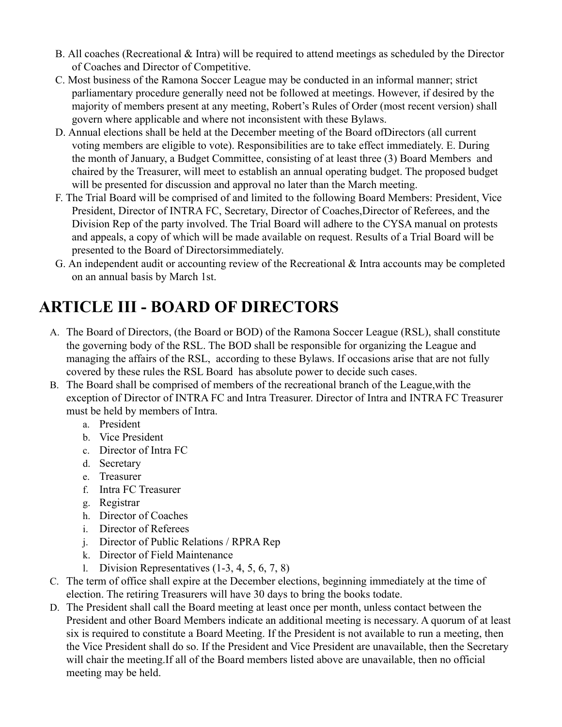- B. All coaches (Recreational & Intra) will be required to attend meetings as scheduled by the Director of Coaches and Director of Competitive.
- C. Most business of the Ramona Soccer League may be conducted in an informal manner; strict parliamentary procedure generally need not be followed at meetings. However, if desired by the majority of members present at any meeting, Robert's Rules of Order (most recent version) shall govern where applicable and where not inconsistent with these Bylaws.
- D. Annual elections shall be held at the December meeting of the Board ofDirectors (all current voting members are eligible to vote). Responsibilities are to take effect immediately. E. During the month of January, a Budget Committee, consisting of at least three (3) Board Members and chaired by the Treasurer, will meet to establish an annual operating budget. The proposed budget will be presented for discussion and approval no later than the March meeting.
- F. The Trial Board will be comprised of and limited to the following Board Members: President, Vice President, Director of INTRA FC, Secretary, Director of Coaches,Director of Referees, and the Division Rep of the party involved. The Trial Board will adhere to the CYSA manual on protests and appeals, a copy of which will be made available on request. Results of a Trial Board will be presented to the Board of Directorsimmediately.
- G. An independent audit or accounting review of the Recreational & Intra accounts may be completed on an annual basis by March 1st.

# **ARTICLE III - BOARD OF DIRECTORS**

- A. The Board of Directors, (the Board or BOD) of the Ramona Soccer League (RSL), shall constitute the governing body of the RSL. The BOD shall be responsible for organizing the League and managing the affairs of the RSL, according to these Bylaws. If occasions arise that are not fully covered by these rules the RSL Board has absolute power to decide such cases.
- B. The Board shall be comprised of members of the recreational branch of the League,with the exception of Director of INTRA FC and Intra Treasurer. Director of Intra and INTRA FC Treasurer must be held by members of Intra.
	- a. President
	- b. Vice President
	- c. Director of Intra FC
	- d. Secretary
	- e. Treasurer
	- f. Intra FC Treasurer
	- g. Registrar
	- h. Director of Coaches
	- i. Director of Referees
	- j. Director of Public Relations / RPRA Rep
	- k. Director of Field Maintenance
	- l. Division Representatives (1-3, 4, 5, 6, 7, 8)
- C. The term of office shall expire at the December elections, beginning immediately at the time of election. The retiring Treasurers will have 30 days to bring the books todate.
- D. The President shall call the Board meeting at least once per month, unless contact between the President and other Board Members indicate an additional meeting is necessary. A quorum of at least six is required to constitute a Board Meeting. If the President is not available to run a meeting, then the Vice President shall do so. If the President and Vice President are unavailable, then the Secretary will chair the meeting.If all of the Board members listed above are unavailable, then no official meeting may be held.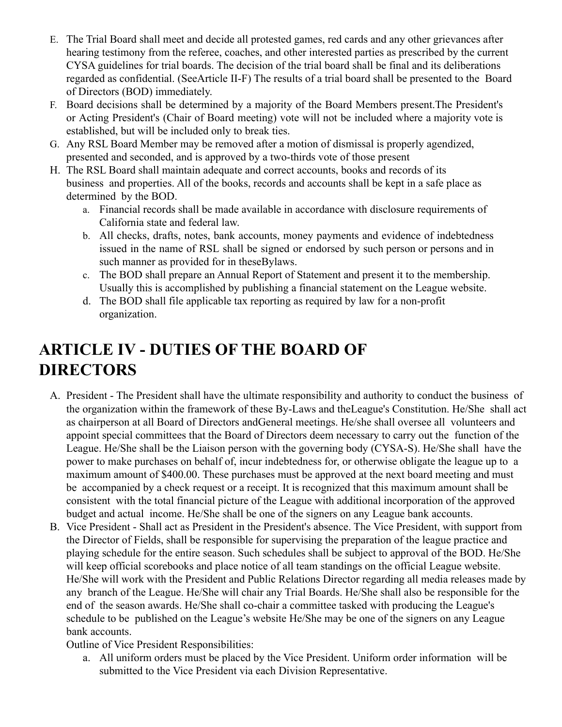- E. The Trial Board shall meet and decide all protested games, red cards and any other grievances after hearing testimony from the referee, coaches, and other interested parties as prescribed by the current CYSA guidelines for trial boards. The decision of the trial board shall be final and its deliberations regarded as confidential. (SeeArticle II-F) The results of a trial board shall be presented to the Board of Directors (BOD) immediately.
- F. Board decisions shall be determined by a majority of the Board Members present.The President's or Acting President's (Chair of Board meeting) vote will not be included where a majority vote is established, but will be included only to break ties.
- G. Any RSL Board Member may be removed after a motion of dismissal is properly agendized, presented and seconded, and is approved by a two-thirds vote of those present
- H. The RSL Board shall maintain adequate and correct accounts, books and records of its business and properties. All of the books, records and accounts shall be kept in a safe place as determined by the BOD.
	- a. Financial records shall be made available in accordance with disclosure requirements of California state and federal law.
	- b. All checks, drafts, notes, bank accounts, money payments and evidence of indebtedness issued in the name of RSL shall be signed or endorsed by such person or persons and in such manner as provided for in theseBylaws.
	- c. The BOD shall prepare an Annual Report of Statement and present it to the membership. Usually this is accomplished by publishing a financial statement on the League website.
	- d. The BOD shall file applicable tax reporting as required by law for a non-profit organization.

### **ARTICLE IV - DUTIES OF THE BOARD OF DIRECTORS**

- A. President The President shall have the ultimate responsibility and authority to conduct the business of the organization within the framework of these By-Laws and theLeague's Constitution. He/She shall act as chairperson at all Board of Directors andGeneral meetings. He/she shall oversee all volunteers and appoint special committees that the Board of Directors deem necessary to carry out the function of the League. He/She shall be the Liaison person with the governing body (CYSA-S). He/She shall have the power to make purchases on behalf of, incur indebtedness for, or otherwise obligate the league up to a maximum amount of \$400.00. These purchases must be approved at the next board meeting and must be accompanied by a check request or a receipt. It is recognized that this maximum amount shall be consistent with the total financial picture of the League with additional incorporation of the approved budget and actual income. He/She shall be one of the signers on any League bank accounts.
- B. Vice President Shall act as President in the President's absence. The Vice President, with support from the Director of Fields, shall be responsible for supervising the preparation of the league practice and playing schedule for the entire season. Such schedules shall be subject to approval of the BOD. He/She will keep official scorebooks and place notice of all team standings on the official League website. He/She will work with the President and Public Relations Director regarding all media releases made by any branch of the League. He/She will chair any Trial Boards. He/She shall also be responsible for the end of the season awards. He/She shall co-chair a committee tasked with producing the League's schedule to be published on the League's website He/She may be one of the signers on any League bank accounts.

Outline of Vice President Responsibilities:

a. All uniform orders must be placed by the Vice President. Uniform order information will be submitted to the Vice President via each Division Representative.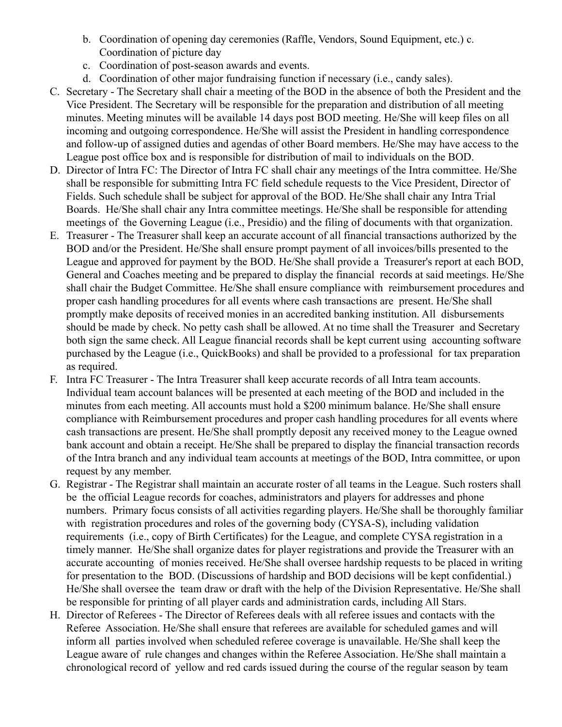- b. Coordination of opening day ceremonies (Raffle, Vendors, Sound Equipment, etc.) c. Coordination of picture day
- c. Coordination of post-season awards and events.
- d. Coordination of other major fundraising function if necessary (i.e., candy sales).
- C. Secretary The Secretary shall chair a meeting of the BOD in the absence of both the President and the Vice President. The Secretary will be responsible for the preparation and distribution of all meeting minutes. Meeting minutes will be available 14 days post BOD meeting. He/She will keep files on all incoming and outgoing correspondence. He/She will assist the President in handling correspondence and follow-up of assigned duties and agendas of other Board members. He/She may have access to the League post office box and is responsible for distribution of mail to individuals on the BOD.
- D. Director of Intra FC: The Director of Intra FC shall chair any meetings of the Intra committee. He/She shall be responsible for submitting Intra FC field schedule requests to the Vice President, Director of Fields. Such schedule shall be subject for approval of the BOD. He/She shall chair any Intra Trial Boards. He/She shall chair any Intra committee meetings. He/She shall be responsible for attending meetings of the Governing League (i.e., Presidio) and the filing of documents with that organization.
- E. Treasurer The Treasurer shall keep an accurate account of all financial transactions authorized by the BOD and/or the President. He/She shall ensure prompt payment of all invoices/bills presented to the League and approved for payment by the BOD. He/She shall provide a Treasurer's report at each BOD, General and Coaches meeting and be prepared to display the financial records at said meetings. He/She shall chair the Budget Committee. He/She shall ensure compliance with reimbursement procedures and proper cash handling procedures for all events where cash transactions are present. He/She shall promptly make deposits of received monies in an accredited banking institution. All disbursements should be made by check. No petty cash shall be allowed. At no time shall the Treasurer and Secretary both sign the same check. All League financial records shall be kept current using accounting software purchased by the League (i.e., QuickBooks) and shall be provided to a professional for tax preparation as required.
- F. Intra FC Treasurer The Intra Treasurer shall keep accurate records of all Intra team accounts. Individual team account balances will be presented at each meeting of the BOD and included in the minutes from each meeting. All accounts must hold a \$200 minimum balance. He/She shall ensure compliance with Reimbursement procedures and proper cash handling procedures for all events where cash transactions are present. He/She shall promptly deposit any received money to the League owned bank account and obtain a receipt. He/She shall be prepared to display the financial transaction records of the Intra branch and any individual team accounts at meetings of the BOD, Intra committee, or upon request by any member.
- G. Registrar The Registrar shall maintain an accurate roster of all teams in the League. Such rosters shall be the official League records for coaches, administrators and players for addresses and phone numbers. Primary focus consists of all activities regarding players. He/She shall be thoroughly familiar with registration procedures and roles of the governing body (CYSA-S), including validation requirements (i.e., copy of Birth Certificates) for the League, and complete CYSA registration in a timely manner. He/She shall organize dates for player registrations and provide the Treasurer with an accurate accounting of monies received. He/She shall oversee hardship requests to be placed in writing for presentation to the BOD. (Discussions of hardship and BOD decisions will be kept confidential.) He/She shall oversee the team draw or draft with the help of the Division Representative. He/She shall be responsible for printing of all player cards and administration cards, including All Stars.
- H. Director of Referees The Director of Referees deals with all referee issues and contacts with the Referee Association. He/She shall ensure that referees are available for scheduled games and will inform all parties involved when scheduled referee coverage is unavailable. He/She shall keep the League aware of rule changes and changes within the Referee Association. He/She shall maintain a chronological record of yellow and red cards issued during the course of the regular season by team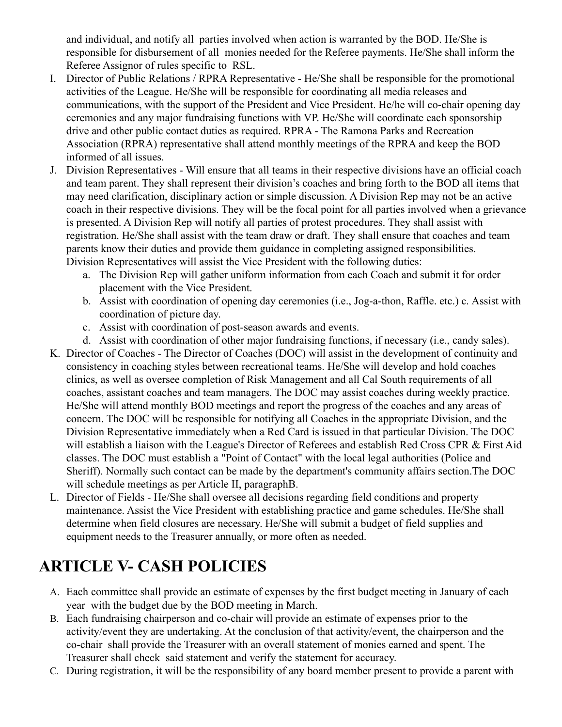and individual, and notify all parties involved when action is warranted by the BOD. He/She is responsible for disbursement of all monies needed for the Referee payments. He/She shall inform the Referee Assignor of rules specific to RSL.

- I. Director of Public Relations / RPRA Representative He/She shall be responsible for the promotional activities of the League. He/She will be responsible for coordinating all media releases and communications, with the support of the President and Vice President. He/he will co-chair opening day ceremonies and any major fundraising functions with VP. He/She will coordinate each sponsorship drive and other public contact duties as required. RPRA - The Ramona Parks and Recreation Association (RPRA) representative shall attend monthly meetings of the RPRA and keep the BOD informed of all issues.
- J. Division Representatives Will ensure that all teams in their respective divisions have an official coach and team parent. They shall represent their division's coaches and bring forth to the BOD all items that may need clarification, disciplinary action or simple discussion. A Division Rep may not be an active coach in their respective divisions. They will be the focal point for all parties involved when a grievance is presented. A Division Rep will notify all parties of protest procedures. They shall assist with registration. He/She shall assist with the team draw or draft. They shall ensure that coaches and team parents know their duties and provide them guidance in completing assigned responsibilities. Division Representatives will assist the Vice President with the following duties:
	- a. The Division Rep will gather uniform information from each Coach and submit it for order placement with the Vice President.
	- b. Assist with coordination of opening day ceremonies (i.e., Jog-a-thon, Raffle. etc.) c. Assist with coordination of picture day.
	- c. Assist with coordination of post-season awards and events.
	- d. Assist with coordination of other major fundraising functions, if necessary (i.e., candy sales).
- K. Director of Coaches The Director of Coaches (DOC) will assist in the development of continuity and consistency in coaching styles between recreational teams. He/She will develop and hold coaches clinics, as well as oversee completion of Risk Management and all Cal South requirements of all coaches, assistant coaches and team managers. The DOC may assist coaches during weekly practice. He/She will attend monthly BOD meetings and report the progress of the coaches and any areas of concern. The DOC will be responsible for notifying all Coaches in the appropriate Division, and the Division Representative immediately when a Red Card is issued in that particular Division. The DOC will establish a liaison with the League's Director of Referees and establish Red Cross CPR & First Aid classes. The DOC must establish a "Point of Contact" with the local legal authorities (Police and Sheriff). Normally such contact can be made by the department's community affairs section.The DOC will schedule meetings as per Article II, paragraphB.
- L. Director of Fields He/She shall oversee all decisions regarding field conditions and property maintenance. Assist the Vice President with establishing practice and game schedules. He/She shall determine when field closures are necessary. He/She will submit a budget of field supplies and equipment needs to the Treasurer annually, or more often as needed.

## **ARTICLE V- CASH POLICIES**

- A. Each committee shall provide an estimate of expenses by the first budget meeting in January of each year with the budget due by the BOD meeting in March.
- B. Each fundraising chairperson and co-chair will provide an estimate of expenses prior to the activity/event they are undertaking. At the conclusion of that activity/event, the chairperson and the co-chair shall provide the Treasurer with an overall statement of monies earned and spent. The Treasurer shall check said statement and verify the statement for accuracy.
- C. During registration, it will be the responsibility of any board member present to provide a parent with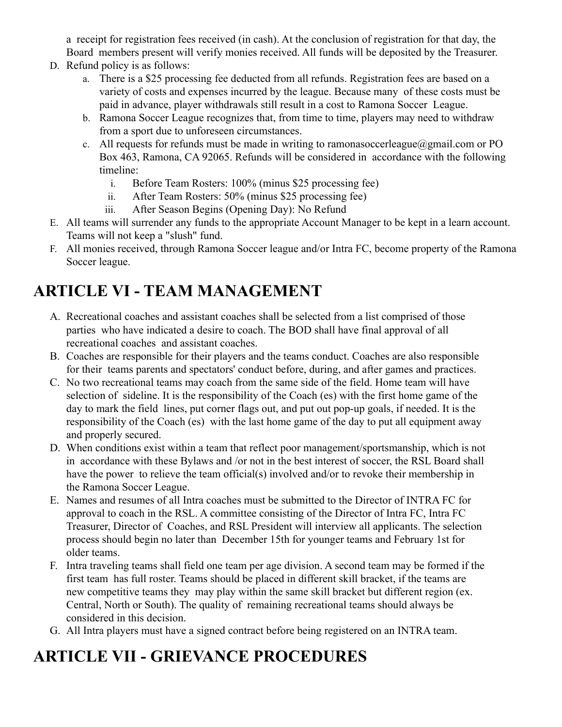a receipt for registration fees received (in cash). At the conclusion of registration for that day, the Board members present will verify monies received. All funds will be deposited by the Treasurer.

- D. Refund policy is as follows:
	- a. There is a \$25 processing fee deducted from all refunds. Registration fees are based on a variety of costs and expenses incurred by the league. Because many of these costs must be paid in advance, player withdrawals still result in a cost to Ramona Soccer League.
	- b. Ramona Soccer League recognizes that, from time to time, players may need to withdraw from a sport due to unforeseen circumstances.
	- c. All requests for refunds must be made in writing to ramonasoccerleague@gmail.com or PO Box 463, Ramona, CA 92065. Refunds will be considered in accordance with the following timeline:
		- i. Before Team Rosters: 100% (minus \$25 processing fee)
		- ii. After Team Rosters: 50% (minus \$25 processing fee)
		- iii. After Season Begins (Opening Day): No Refund
- E. All teams will surrender any funds to the appropriate Account Manager to be kept in a learn account. Teams will not keep a "slush" fund.
- F. All monies received, through Ramona Soccer league and/or Intra FC, become property of the Ramona Soccer league.

# **ARTICLE VI - TEAM MANAGEMENT**

- A. Recreational coaches and assistant coaches shall be selected from a list comprised of those parties who have indicated a desire to coach. The BOD shall have final approval of all recreational coaches and assistant coaches.
- B. Coaches are responsible for their players and the teams conduct. Coaches are also responsible for their teams parents and spectators' conduct before, during, and after games and practices.
- C. No two recreational teams may coach from the same side of the field. Home team will have selection of sideline. It is the responsibility of the Coach (es) with the first home game of the day to mark the field lines, put corner flags out, and put out pop-up goals, if needed. It is the responsibility of the Coach (es) with the last home game of the day to put all equipment away and properly secured.
- D. When conditions exist within a team that reflect poor management/sportsmanship, which is not in accordance with these Bylaws and /or not in the best interest of soccer, the RSL Board shall have the power to relieve the team official(s) involved and/or to revoke their membership in the Ramona Soccer League.
- E. Names and resumes of all Intra coaches must be submitted to the Director of INTRA FC for approval to coach in the RSL. A committee consisting of the Director of Intra FC, Intra FC Treasurer, Director of Coaches, and RSL President will interview all applicants. The selection process should begin no later than December 15th for younger teams and February 1st for older teams.
- F. Intra traveling teams shall field one team per age division. A second team may be formed if the first team has full roster. Teams should be placed in different skill bracket, if the teams are new competitive teams they may play within the same skill bracket but different region (ex. Central, North or South). The quality of remaining recreational teams should always be considered in this decision.
- G. All Intra players must have a signed contract before being registered on an INTRA team.

## **ARTICLE VII - GRIEVANCE PROCEDURES**